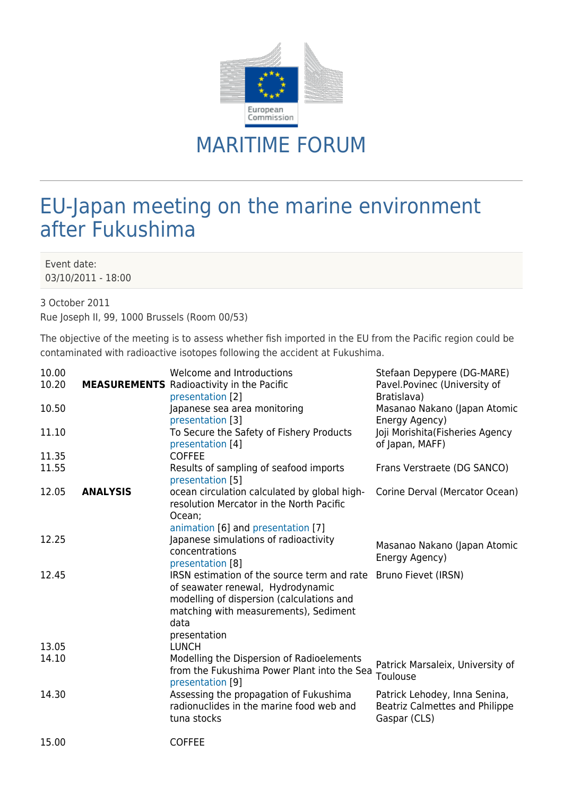

## MARITIME FORUM

## EU-Japan meeting on the marine environment after Fukushima

Event date: 03/10/2011 - 18:00

3 October 2011

Rue Joseph II, 99, 1000 Brussels (Room 00/53)

The objective of the meeting is to assess whether fish imported in the EU from the Pacific region could be contaminated with radioactive isotopes following the accident at Fukushima.

| 10.00<br>10.20 |                 | Welcome and Introductions<br><b>MEASUREMENTS</b> Radioactivity in the Pacific<br>presentation [2]                                                                                                                  | Stefaan Depypere (DG-MARE)<br>Pavel.Povinec (University of<br>Bratislava)       |
|----------------|-----------------|--------------------------------------------------------------------------------------------------------------------------------------------------------------------------------------------------------------------|---------------------------------------------------------------------------------|
| 10.50          |                 | Japanese sea area monitoring<br>presentation [3]                                                                                                                                                                   | Masanao Nakano (Japan Atomic<br>Energy Agency)                                  |
| 11.10          |                 | To Secure the Safety of Fishery Products<br>presentation [4]                                                                                                                                                       | Joji Morishita (Fisheries Agency<br>of Japan, MAFF)                             |
| 11.35          |                 | <b>COFFEE</b>                                                                                                                                                                                                      |                                                                                 |
| 11.55          |                 | Results of sampling of seafood imports<br>presentation [5]                                                                                                                                                         | Frans Verstraete (DG SANCO)                                                     |
| 12.05          | <b>ANALYSIS</b> | ocean circulation calculated by global high-<br>resolution Mercator in the North Pacific<br>Ocean;<br>animation [6] and presentation [7]                                                                           | Corine Derval (Mercator Ocean)                                                  |
| 12.25          |                 | Japanese simulations of radioactivity<br>concentrations<br>presentation [8]                                                                                                                                        | Masanao Nakano (Japan Atomic<br>Energy Agency)                                  |
| 12.45          |                 | IRSN estimation of the source term and rate Bruno Fievet (IRSN)<br>of seawater renewal, Hydrodynamic<br>modelling of dispersion (calculations and<br>matching with measurements), Sediment<br>data<br>presentation |                                                                                 |
| 13.05          |                 | <b>LUNCH</b>                                                                                                                                                                                                       |                                                                                 |
| 14.10          |                 | Modelling the Dispersion of Radioelements<br>from the Fukushima Power Plant into the Sea<br>presentation [9]                                                                                                       | Patrick Marsaleix, University of<br>Toulouse                                    |
| 14.30          |                 | Assessing the propagation of Fukushima<br>radionuclides in the marine food web and<br>tuna stocks                                                                                                                  | Patrick Lehodey, Inna Senina,<br>Beatriz Calmettes and Philippe<br>Gaspar (CLS) |
| 15.00          |                 | <b>COFFEE</b>                                                                                                                                                                                                      |                                                                                 |